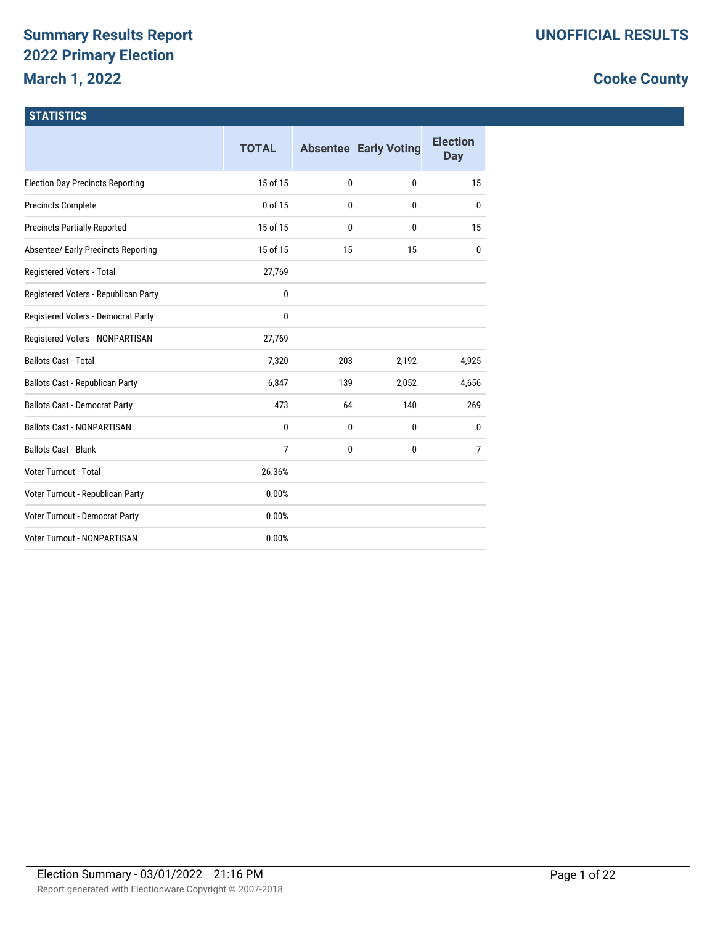# **Summary Results Report 2022 Primary Election March 1, 2022**

# **Cooke County**

#### **STATISTICS**

|                                            | <b>TOTAL</b>   |     | <b>Absentee Early Voting</b> | <b>Election</b><br>Day |
|--------------------------------------------|----------------|-----|------------------------------|------------------------|
| <b>Election Day Precincts Reporting</b>    | 15 of 15       | 0   | $\mathbf{0}$                 | 15                     |
| <b>Precincts Complete</b>                  | 0 of 15        | 0   | $\mathbf{0}$                 | 0                      |
| <b>Precincts Partially Reported</b>        | 15 of 15       | 0   | 0                            | 15                     |
| <b>Absentee/ Early Precincts Reporting</b> | 15 of 15       | 15  | 15                           | $\mathbf{0}$           |
| Registered Voters - Total                  | 27,769         |     |                              |                        |
| Registered Voters - Republican Party       | 0              |     |                              |                        |
| Registered Voters - Democrat Party         | 0              |     |                              |                        |
| Registered Voters - NONPARTISAN            | 27,769         |     |                              |                        |
| <b>Ballots Cast - Total</b>                | 7,320          | 203 | 2,192                        | 4,925                  |
| Ballots Cast - Republican Party            | 6,847          | 139 | 2,052                        | 4,656                  |
| <b>Ballots Cast - Democrat Party</b>       | 473            | 64  | 140                          | 269                    |
| <b>Ballots Cast - NONPARTISAN</b>          | $\mathbf{0}$   | 0   | $\mathbf{0}$                 | $\mathbf{0}$           |
| <b>Ballots Cast - Blank</b>                | $\overline{7}$ | 0   | $\mathbf{0}$                 | $\overline{7}$         |
| Voter Turnout - Total                      | 26.36%         |     |                              |                        |
| Voter Turnout - Republican Party           | 0.00%          |     |                              |                        |
| Voter Turnout - Democrat Party             | 0.00%          |     |                              |                        |
| <b>Voter Turnout - NONPARTISAN</b>         | 0.00%          |     |                              |                        |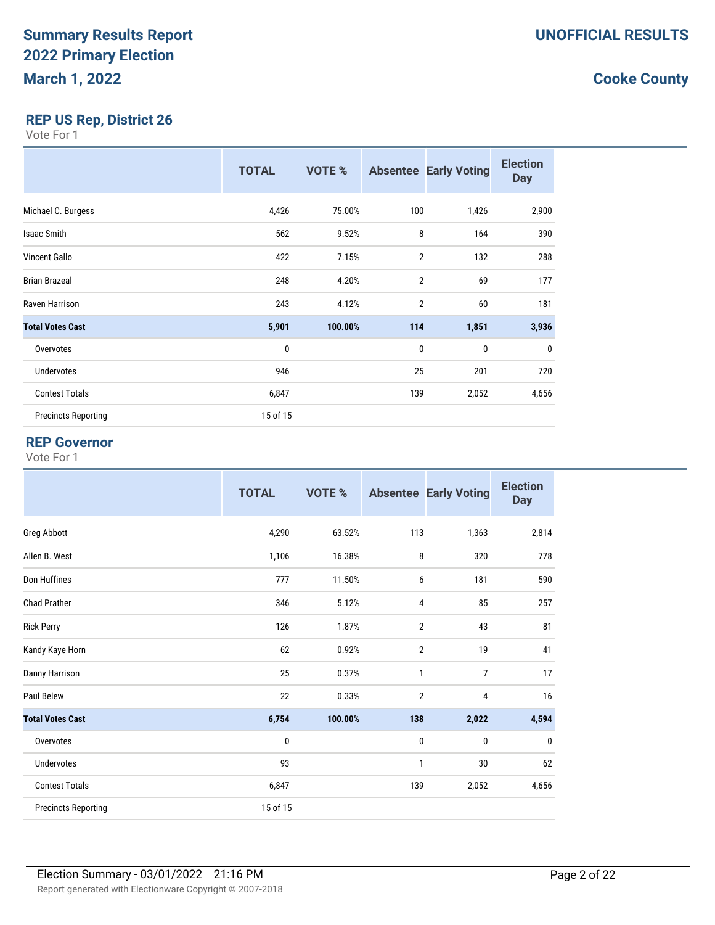### **REP US Rep, District 26**

Vote For 1

|                            | <b>TOTAL</b> | <b>VOTE %</b> |                | <b>Absentee Early Voting</b> | <b>Election</b><br><b>Day</b> |
|----------------------------|--------------|---------------|----------------|------------------------------|-------------------------------|
| Michael C. Burgess         | 4,426        | 75.00%        | 100            | 1,426                        | 2,900                         |
| <b>Isaac Smith</b>         | 562          | 9.52%         | 8              | 164                          | 390                           |
| <b>Vincent Gallo</b>       | 422          | 7.15%         | $\overline{2}$ | 132                          | 288                           |
| <b>Brian Brazeal</b>       | 248          | 4.20%         | $\overline{2}$ | 69                           | 177                           |
| Raven Harrison             | 243          | 4.12%         | 2              | 60                           | 181                           |
| <b>Total Votes Cast</b>    | 5,901        | 100.00%       | 114            | 1,851                        | 3,936                         |
| Overvotes                  | $\mathbf{0}$ |               | $\mathbf{0}$   | 0                            | 0                             |
| Undervotes                 | 946          |               | 25             | 201                          | 720                           |
| <b>Contest Totals</b>      | 6,847        |               | 139            | 2,052                        | 4,656                         |
| <b>Precincts Reporting</b> | 15 of 15     |               |                |                              |                               |

#### **REP Governor**

|                            | <b>TOTAL</b> | <b>VOTE %</b> |                | <b>Absentee Early Voting</b> | <b>Election</b><br><b>Day</b> |
|----------------------------|--------------|---------------|----------------|------------------------------|-------------------------------|
| <b>Greg Abbott</b>         | 4,290        | 63.52%        | 113            | 1,363                        | 2,814                         |
| Allen B. West              | 1,106        | 16.38%        | 8              | 320                          | 778                           |
| Don Huffines               | 777          | 11.50%        | 6              | 181                          | 590                           |
| <b>Chad Prather</b>        | 346          | 5.12%         | 4              | 85                           | 257                           |
| <b>Rick Perry</b>          | 126          | 1.87%         | $\overline{2}$ | 43                           | 81                            |
| Kandy Kaye Horn            | 62           | 0.92%         | $\overline{2}$ | 19                           | 41                            |
| Danny Harrison             | 25           | 0.37%         | 1              | $\overline{7}$               | 17                            |
| Paul Belew                 | 22           | 0.33%         | $\overline{2}$ | 4                            | 16                            |
| <b>Total Votes Cast</b>    | 6,754        | 100.00%       | 138            | 2,022                        | 4,594                         |
| Overvotes                  | 0            |               | 0              | 0                            | 0                             |
| Undervotes                 | 93           |               | 1              | 30                           | 62                            |
| <b>Contest Totals</b>      | 6,847        |               | 139            | 2,052                        | 4,656                         |
| <b>Precincts Reporting</b> | 15 of 15     |               |                |                              |                               |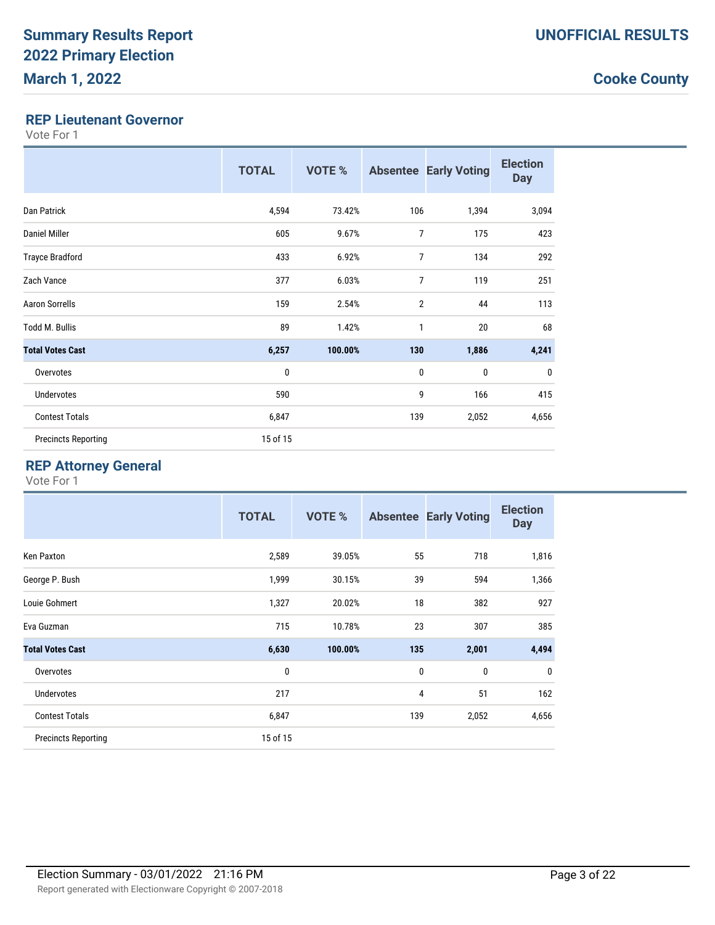#### **REP Lieutenant Governor**

Vote For 1

|                            | <b>TOTAL</b> | VOTE %  |                | <b>Absentee Early Voting</b> | <b>Election</b><br><b>Day</b> |
|----------------------------|--------------|---------|----------------|------------------------------|-------------------------------|
| <b>Dan Patrick</b>         | 4,594        | 73.42%  | 106            | 1,394                        | 3,094                         |
| Daniel Miller              | 605          | 9.67%   | $\overline{7}$ | 175                          | 423                           |
| <b>Trayce Bradford</b>     | 433          | 6.92%   | $\overline{7}$ | 134                          | 292                           |
| Zach Vance                 | 377          | 6.03%   | $\overline{7}$ | 119                          | 251                           |
| <b>Aaron Sorrells</b>      | 159          | 2.54%   | $\overline{2}$ | 44                           | 113                           |
| <b>Todd M. Bullis</b>      | 89           | 1.42%   | 1              | 20                           | 68                            |
| <b>Total Votes Cast</b>    | 6,257        | 100.00% | 130            | 1,886                        | 4,241                         |
| Overvotes                  | 0            |         | $\mathbf 0$    | 0                            | $\mathbf 0$                   |
| Undervotes                 | 590          |         | 9              | 166                          | 415                           |
| <b>Contest Totals</b>      | 6,847        |         | 139            | 2,052                        | 4,656                         |
| <b>Precincts Reporting</b> | 15 of 15     |         |                |                              |                               |

### **REP Attorney General**

|                            | <b>TOTAL</b> | <b>VOTE %</b> |              | <b>Absentee Early Voting</b> | <b>Election</b><br><b>Day</b> |
|----------------------------|--------------|---------------|--------------|------------------------------|-------------------------------|
| Ken Paxton                 | 2,589        | 39.05%        | 55           | 718                          | 1,816                         |
| George P. Bush             | 1,999        | 30.15%        | 39           | 594                          | 1,366                         |
| Louie Gohmert              | 1,327        | 20.02%        | 18           | 382                          | 927                           |
| Eva Guzman                 | 715          | 10.78%        | 23           | 307                          | 385                           |
| <b>Total Votes Cast</b>    | 6,630        | 100.00%       | 135          | 2,001                        | 4,494                         |
| Overvotes                  | 0            |               | $\mathbf{0}$ | 0                            | 0                             |
| <b>Undervotes</b>          | 217          |               | 4            | 51                           | 162                           |
| <b>Contest Totals</b>      | 6,847        |               | 139          | 2,052                        | 4,656                         |
| <b>Precincts Reporting</b> | 15 of 15     |               |              |                              |                               |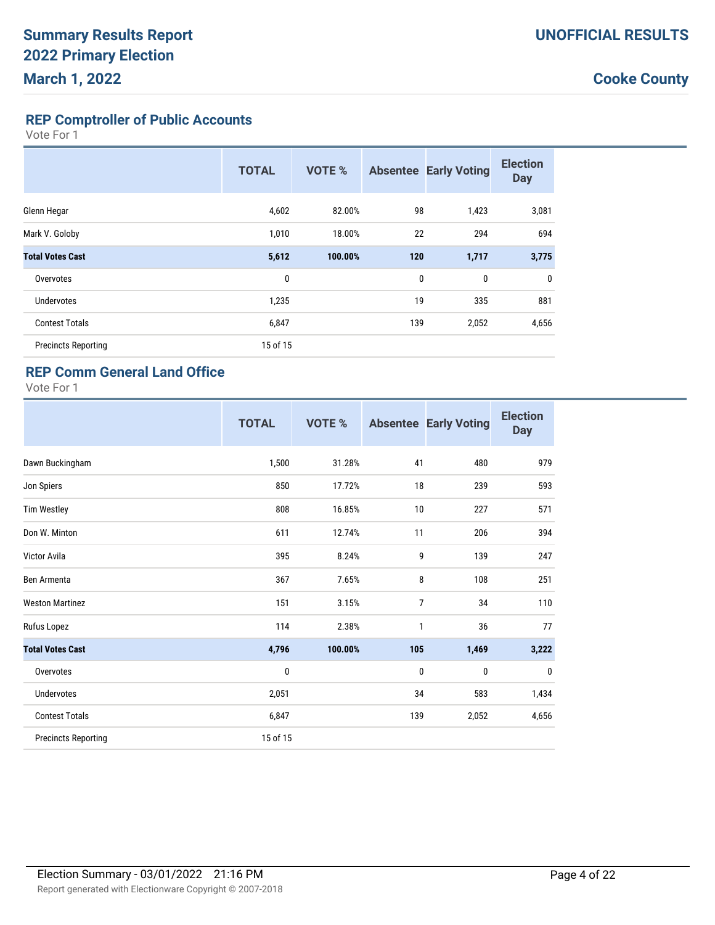**REP Comptroller of Public Accounts**

Vote For 1

|                            | <b>TOTAL</b> | <b>VOTE %</b> | <b>Absentee</b> | <b>Early Voting</b> | <b>Election</b><br><b>Day</b> |
|----------------------------|--------------|---------------|-----------------|---------------------|-------------------------------|
| Glenn Hegar                | 4,602        | 82.00%        | 98              | 1,423               | 3,081                         |
| Mark V. Goloby             | 1,010        | 18.00%        | 22              | 294                 | 694                           |
| <b>Total Votes Cast</b>    | 5,612        | 100.00%       | 120             | 1,717               | 3,775                         |
| Overvotes                  | 0            |               | 0               | 0                   | $\mathbf{0}$                  |
| <b>Undervotes</b>          | 1,235        |               | 19              | 335                 | 881                           |
| <b>Contest Totals</b>      | 6,847        |               | 139             | 2,052               | 4,656                         |
| <b>Precincts Reporting</b> | 15 of 15     |               |                 |                     |                               |

#### **REP Comm General Land Office**

|                            | <b>TOTAL</b> | VOTE %  |                | <b>Absentee Early Voting</b> | <b>Election</b><br><b>Day</b> |
|----------------------------|--------------|---------|----------------|------------------------------|-------------------------------|
| Dawn Buckingham            | 1,500        | 31.28%  | 41             | 480                          | 979                           |
| Jon Spiers                 | 850          | 17.72%  | 18             | 239                          | 593                           |
| <b>Tim Westley</b>         | 808          | 16.85%  | 10             | 227                          | 571                           |
| Don W. Minton              | 611          | 12.74%  | 11             | 206                          | 394                           |
| Victor Avila               | 395          | 8.24%   | 9              | 139                          | 247                           |
| Ben Armenta                | 367          | 7.65%   | 8              | 108                          | 251                           |
| <b>Weston Martinez</b>     | 151          | 3.15%   | $\overline{7}$ | 34                           | 110                           |
| Rufus Lopez                | 114          | 2.38%   | $\mathbf{1}$   | 36                           | 77                            |
| <b>Total Votes Cast</b>    | 4,796        | 100.00% | 105            | 1,469                        | 3,222                         |
| Overvotes                  | $\pmb{0}$    |         | 0              | 0                            | $\mathbf{0}$                  |
| <b>Undervotes</b>          | 2,051        |         | 34             | 583                          | 1,434                         |
| <b>Contest Totals</b>      | 6,847        |         | 139            | 2,052                        | 4,656                         |
| <b>Precincts Reporting</b> | 15 of 15     |         |                |                              |                               |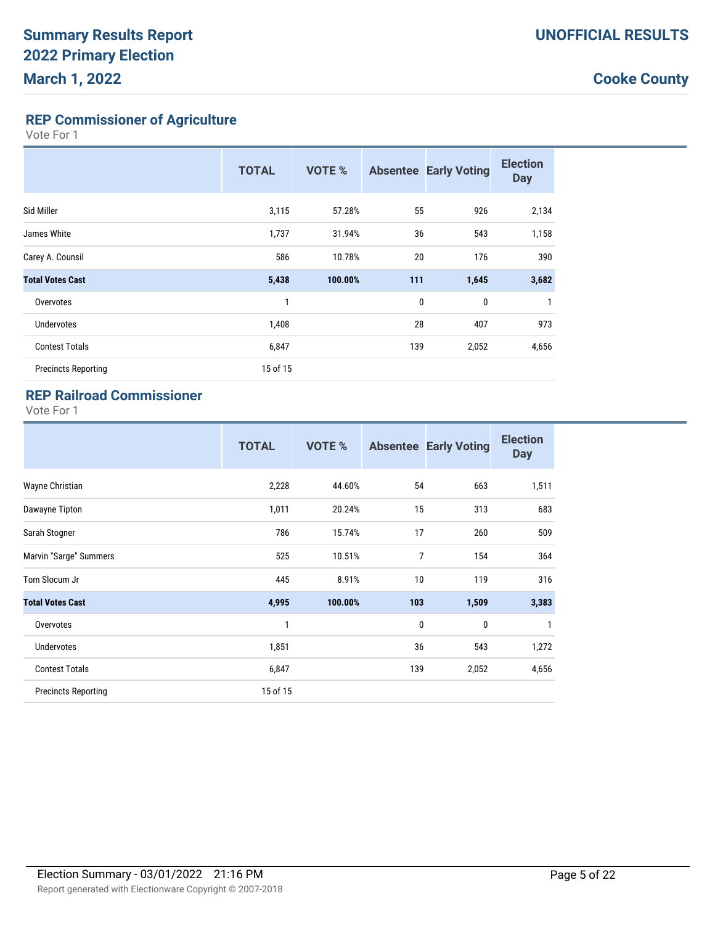**REP Commissioner of Agriculture**

Vote For 1

|                            | <b>TOTAL</b> | <b>VOTE %</b> |                  | <b>Absentee Early Voting</b> | <b>Election</b><br><b>Day</b> |
|----------------------------|--------------|---------------|------------------|------------------------------|-------------------------------|
| Sid Miller                 | 3,115        | 57.28%        | 55               | 926                          | 2,134                         |
| James White                | 1,737        | 31.94%        | 36               | 543                          | 1,158                         |
| Carey A. Counsil           | 586          | 10.78%        | 20               | 176                          | 390                           |
| <b>Total Votes Cast</b>    | 5,438        | 100.00%       | 111              | 1,645                        | 3,682                         |
| Overvotes                  | 1            |               | $\boldsymbol{0}$ | $\mathbf{0}$                 | $\mathbf{1}$                  |
| <b>Undervotes</b>          | 1,408        |               | 28               | 407                          | 973                           |
| <b>Contest Totals</b>      | 6,847        |               | 139              | 2,052                        | 4,656                         |
| <b>Precincts Reporting</b> | 15 of 15     |               |                  |                              |                               |

### **REP Railroad Commissioner**

|                            | <b>TOTAL</b> | VOTE %  |             | <b>Absentee Early Voting</b> | <b>Election</b><br><b>Day</b> |
|----------------------------|--------------|---------|-------------|------------------------------|-------------------------------|
| Wayne Christian            | 2,228        | 44.60%  | 54          | 663                          | 1,511                         |
| Dawayne Tipton             | 1,011        | 20.24%  | 15          | 313                          | 683                           |
| Sarah Stogner              | 786          | 15.74%  | 17          | 260                          | 509                           |
| Marvin "Sarge" Summers     | 525          | 10.51%  | 7           | 154                          | 364                           |
| Tom Slocum Jr              | 445          | 8.91%   | 10          | 119                          | 316                           |
| <b>Total Votes Cast</b>    | 4,995        | 100.00% | 103         | 1,509                        | 3,383                         |
| Overvotes                  | 1            |         | $\mathbf 0$ | $\mathbf 0$                  | $\mathbf{1}$                  |
| <b>Undervotes</b>          | 1,851        |         | 36          | 543                          | 1,272                         |
| <b>Contest Totals</b>      | 6,847        |         | 139         | 2,052                        | 4,656                         |
| <b>Precincts Reporting</b> | 15 of 15     |         |             |                              |                               |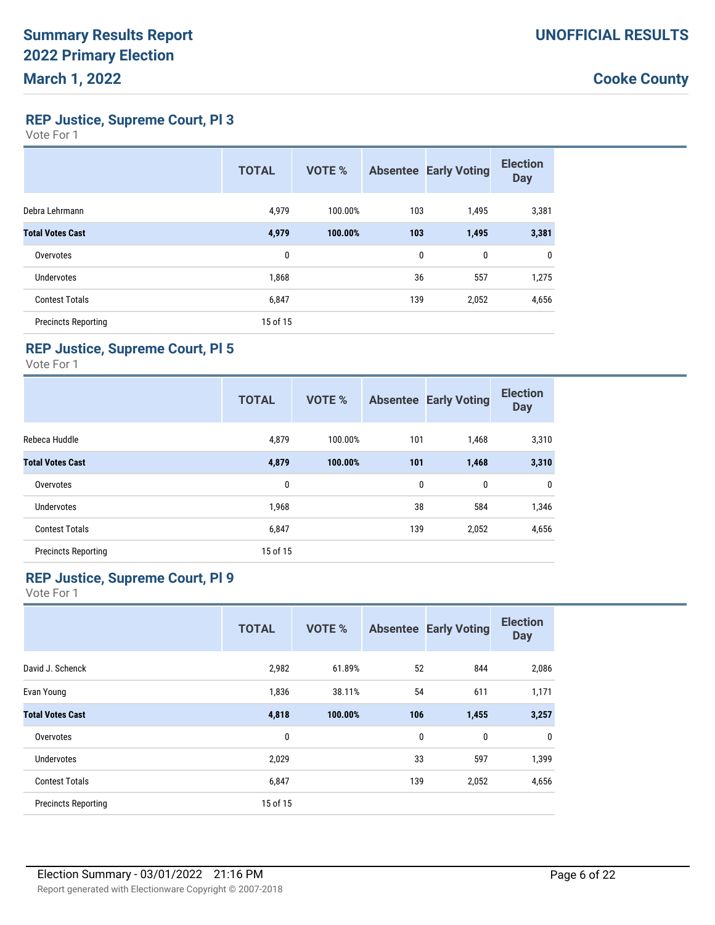**REP Justice, Supreme Court, Pl 3**

Vote For 1

|                            | <b>TOTAL</b> | <b>VOTE %</b> |     | <b>Absentee Early Voting</b> | <b>Election</b><br><b>Day</b> |
|----------------------------|--------------|---------------|-----|------------------------------|-------------------------------|
| Debra Lehrmann             | 4,979        | 100.00%       | 103 | 1,495                        | 3,381                         |
| <b>Total Votes Cast</b>    | 4,979        | 100.00%       | 103 | 1,495                        | 3,381                         |
| Overvotes                  | 0            |               | 0   | $\mathbf 0$                  | 0                             |
| <b>Undervotes</b>          | 1,868        |               | 36  | 557                          | 1,275                         |
| <b>Contest Totals</b>      | 6,847        |               | 139 | 2,052                        | 4,656                         |
| <b>Precincts Reporting</b> | 15 of 15     |               |     |                              |                               |

#### **REP Justice, Supreme Court, Pl 5**

Vote For 1

|                            | <b>TOTAL</b> | <b>VOTE %</b> |     | <b>Absentee Early Voting</b> | <b>Election</b><br><b>Day</b> |
|----------------------------|--------------|---------------|-----|------------------------------|-------------------------------|
| Rebeca Huddle              | 4,879        | 100.00%       | 101 | 1,468                        | 3,310                         |
| <b>Total Votes Cast</b>    | 4,879        | 100.00%       | 101 | 1,468                        | 3,310                         |
| Overvotes                  | 0            |               | 0   | 0                            | 0                             |
| Undervotes                 | 1,968        |               | 38  | 584                          | 1,346                         |
| <b>Contest Totals</b>      | 6,847        |               | 139 | 2,052                        | 4,656                         |
| <b>Precincts Reporting</b> | 15 of 15     |               |     |                              |                               |

#### **REP Justice, Supreme Court, Pl 9**

|                            | <b>TOTAL</b> | <b>VOTE %</b> |              | <b>Absentee Early Voting</b> | <b>Election</b><br><b>Day</b> |
|----------------------------|--------------|---------------|--------------|------------------------------|-------------------------------|
| David J. Schenck           | 2,982        | 61.89%        | 52           | 844                          | 2,086                         |
| Evan Young                 | 1,836        | 38.11%        | 54           | 611                          | 1,171                         |
| <b>Total Votes Cast</b>    | 4,818        | 100.00%       | 106          | 1,455                        | 3,257                         |
| Overvotes                  | 0            |               | $\mathbf{0}$ | 0                            | $\mathbf{0}$                  |
| Undervotes                 | 2,029        |               | 33           | 597                          | 1,399                         |
| <b>Contest Totals</b>      | 6,847        |               | 139          | 2,052                        | 4,656                         |
| <b>Precincts Reporting</b> | 15 of 15     |               |              |                              |                               |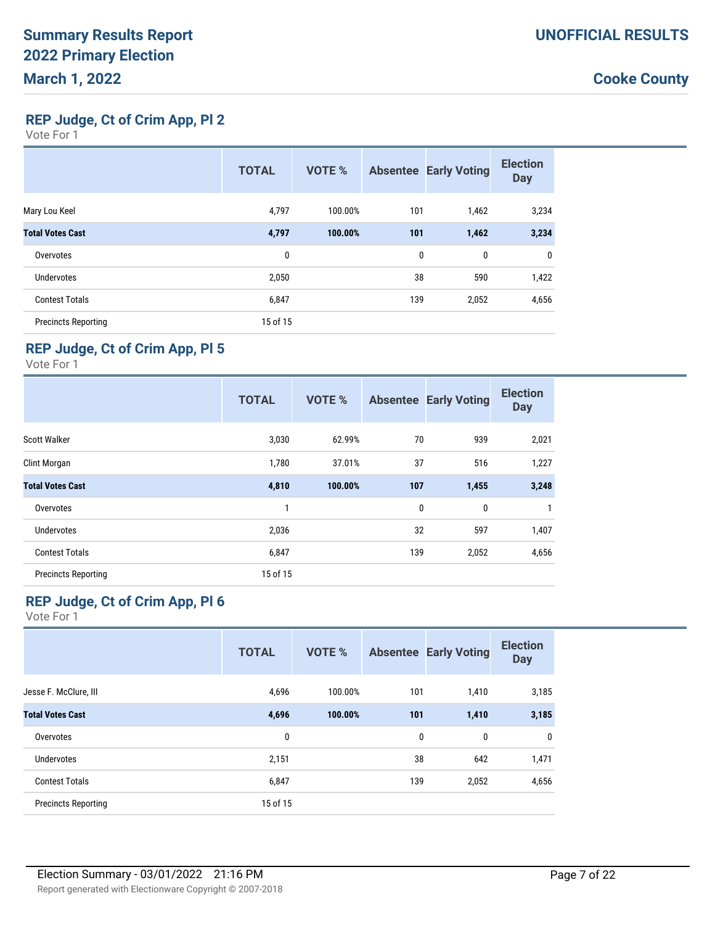**REP Judge, Ct of Crim App, Pl 2**

Vote For 1

|                            | <b>TOTAL</b> | <b>VOTE %</b> |     | <b>Absentee Early Voting</b> | <b>Election</b><br><b>Day</b> |
|----------------------------|--------------|---------------|-----|------------------------------|-------------------------------|
| Mary Lou Keel              | 4,797        | 100.00%       | 101 | 1,462                        | 3,234                         |
| <b>Total Votes Cast</b>    | 4,797        | 100.00%       | 101 | 1,462                        | 3,234                         |
| Overvotes                  | 0            |               | 0   | 0                            | 0                             |
| Undervotes                 | 2,050        |               | 38  | 590                          | 1,422                         |
| <b>Contest Totals</b>      | 6,847        |               | 139 | 2,052                        | 4,656                         |
| <b>Precincts Reporting</b> | 15 of 15     |               |     |                              |                               |

### **REP Judge, Ct of Crim App, Pl 5**

Vote For 1

|                            | <b>TOTAL</b> | <b>VOTE %</b> |     | <b>Absentee Early Voting</b> | <b>Election</b><br><b>Day</b> |
|----------------------------|--------------|---------------|-----|------------------------------|-------------------------------|
| <b>Scott Walker</b>        | 3,030        | 62.99%        | 70  | 939                          | 2,021                         |
| Clint Morgan               | 1,780        | 37.01%        | 37  | 516                          | 1,227                         |
| <b>Total Votes Cast</b>    | 4,810        | 100.00%       | 107 | 1,455                        | 3,248                         |
| Overvotes                  | 1            |               | 0   | 0                            | 1                             |
| <b>Undervotes</b>          | 2,036        |               | 32  | 597                          | 1,407                         |
| <b>Contest Totals</b>      | 6,847        |               | 139 | 2,052                        | 4,656                         |
| <b>Precincts Reporting</b> | 15 of 15     |               |     |                              |                               |

### **REP Judge, Ct of Crim App, Pl 6**

| <b>TOTAL</b> | <b>VOTE %</b> |     |             | <b>Election</b><br><b>Day</b>                         |
|--------------|---------------|-----|-------------|-------------------------------------------------------|
| 4,696        | 100.00%       | 101 | 1,410       | 3,185                                                 |
| 4,696        | 100.00%       |     | 1,410       | 3,185                                                 |
| 0            |               |     | $\mathbf 0$ | 0                                                     |
| 2,151        |               |     | 642         | 1,471                                                 |
| 6,847        |               |     | 2,052       | 4,656                                                 |
| 15 of 15     |               |     |             |                                                       |
|              |               |     |             | <b>Absentee Early Voting</b><br>101<br>0<br>38<br>139 |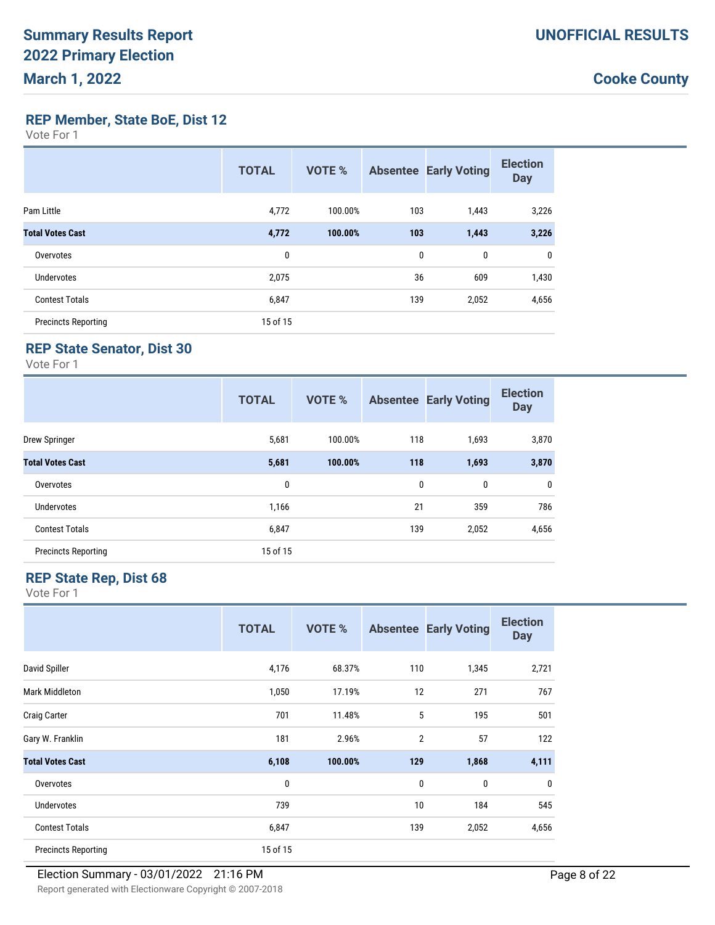**REP Member, State BoE, Dist 12**

Vote For 1

|                            | <b>TOTAL</b> | <b>VOTE %</b> |     | <b>Absentee Early Voting</b> | <b>Election</b><br><b>Day</b> |
|----------------------------|--------------|---------------|-----|------------------------------|-------------------------------|
| Pam Little                 | 4,772        | 100.00%       | 103 | 1,443                        | 3,226                         |
| <b>Total Votes Cast</b>    | 4,772        | 100.00%       | 103 | 1,443                        | 3,226                         |
| Overvotes                  | 0            |               | 0   | 0                            | 0                             |
| Undervotes                 | 2,075        |               | 36  | 609                          | 1,430                         |
| <b>Contest Totals</b>      | 6,847        |               | 139 | 2,052                        | 4,656                         |
| <b>Precincts Reporting</b> | 15 of 15     |               |     |                              |                               |

### **REP State Senator, Dist 30**

Vote For 1

|                            | <b>TOTAL</b> | <b>VOTE %</b> |     | <b>Absentee Early Voting</b> | <b>Election</b><br><b>Day</b> |
|----------------------------|--------------|---------------|-----|------------------------------|-------------------------------|
| Drew Springer              | 5,681        | 100.00%       | 118 | 1,693                        | 3,870                         |
| <b>Total Votes Cast</b>    | 5,681        | 100.00%       | 118 | 1,693                        | 3,870                         |
| Overvotes                  | 0            |               | 0   | 0                            | 0                             |
| <b>Undervotes</b>          | 1,166        |               | 21  | 359                          | 786                           |
| <b>Contest Totals</b>      | 6,847        |               | 139 | 2,052                        | 4,656                         |
| <b>Precincts Reporting</b> | 15 of 15     |               |     |                              |                               |

#### **REP State Rep, Dist 68**

|                            | <b>TOTAL</b> | <b>VOTE %</b> |                | <b>Absentee Early Voting</b> | <b>Election</b><br><b>Day</b> |
|----------------------------|--------------|---------------|----------------|------------------------------|-------------------------------|
| David Spiller              | 4,176        | 68.37%        | 110            | 1,345                        | 2,721                         |
| Mark Middleton             | 1,050        | 17.19%        | 12             | 271                          | 767                           |
| <b>Craig Carter</b>        | 701          | 11.48%        | 5              | 195                          | 501                           |
| Gary W. Franklin           | 181          | 2.96%         | $\overline{2}$ | 57                           | 122                           |
| <b>Total Votes Cast</b>    | 6,108        | 100.00%       | 129            | 1,868                        | 4,111                         |
| Overvotes                  | 0            |               | $\mathbf 0$    | 0                            | $\mathbf{0}$                  |
| <b>Undervotes</b>          | 739          |               | 10             | 184                          | 545                           |
| <b>Contest Totals</b>      | 6,847        |               | 139            | 2,052                        | 4,656                         |
| <b>Precincts Reporting</b> | 15 of 15     |               |                |                              |                               |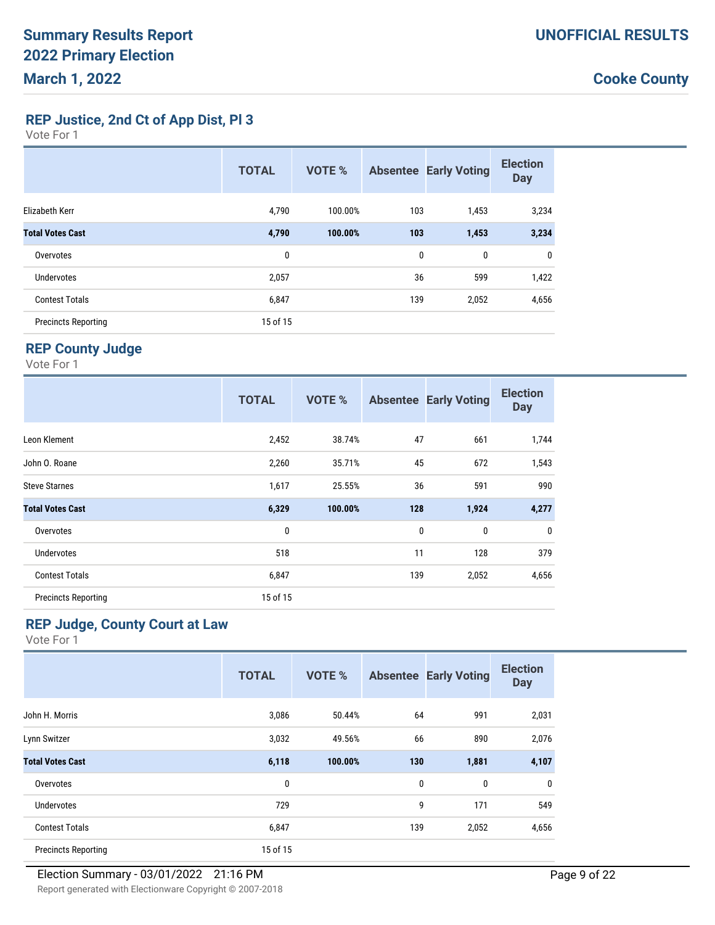**REP Justice, 2nd Ct of App Dist, Pl 3**

Vote For 1

|                            | <b>TOTAL</b> | <b>VOTE %</b> |     | <b>Absentee Early Voting</b> | <b>Election</b><br><b>Day</b> |
|----------------------------|--------------|---------------|-----|------------------------------|-------------------------------|
| Elizabeth Kerr             | 4,790        | 100.00%       | 103 | 1,453                        | 3,234                         |
| <b>Total Votes Cast</b>    | 4,790        | 100.00%       | 103 | 1,453                        | 3,234                         |
| Overvotes                  | 0            |               | 0   | $\mathbf 0$                  | 0                             |
| Undervotes                 | 2,057        |               | 36  | 599                          | 1,422                         |
| <b>Contest Totals</b>      | 6,847        |               | 139 | 2,052                        | 4,656                         |
| <b>Precincts Reporting</b> | 15 of 15     |               |     |                              |                               |

### **REP County Judge**

Vote For 1

|                            | <b>TOTAL</b> | <b>VOTE %</b> |     | <b>Absentee Early Voting</b> | <b>Election</b><br><b>Day</b> |
|----------------------------|--------------|---------------|-----|------------------------------|-------------------------------|
| Leon Klement               | 2,452        | 38.74%        | 47  | 661                          | 1,744                         |
| John O. Roane              | 2,260        | 35.71%        | 45  | 672                          | 1,543                         |
| <b>Steve Starnes</b>       | 1,617        | 25.55%        | 36  | 591                          | 990                           |
| <b>Total Votes Cast</b>    | 6,329        | 100.00%       | 128 | 1,924                        | 4,277                         |
| Overvotes                  | 0            |               | 0   | 0                            | 0                             |
| <b>Undervotes</b>          | 518          |               | 11  | 128                          | 379                           |
| <b>Contest Totals</b>      | 6,847        |               | 139 | 2,052                        | 4,656                         |
| <b>Precincts Reporting</b> | 15 of 15     |               |     |                              |                               |

### **REP Judge, County Court at Law**

|                            | <b>TOTAL</b> | <b>VOTE %</b> |              | <b>Absentee Early Voting</b> | <b>Election</b><br><b>Day</b> |
|----------------------------|--------------|---------------|--------------|------------------------------|-------------------------------|
| John H. Morris             | 3,086        | 50.44%        | 64           | 991                          | 2,031                         |
| Lynn Switzer               | 3,032        | 49.56%        | 66           | 890                          | 2,076                         |
| <b>Total Votes Cast</b>    | 6,118        | 100.00%       | 130          | 1,881                        | 4,107                         |
| Overvotes                  | $\mathbf{0}$ |               | $\mathbf{0}$ | 0                            | 0                             |
| <b>Undervotes</b>          | 729          |               | 9            | 171                          | 549                           |
| <b>Contest Totals</b>      | 6,847        |               | 139          | 2,052                        | 4,656                         |
| <b>Precincts Reporting</b> | 15 of 15     |               |              |                              |                               |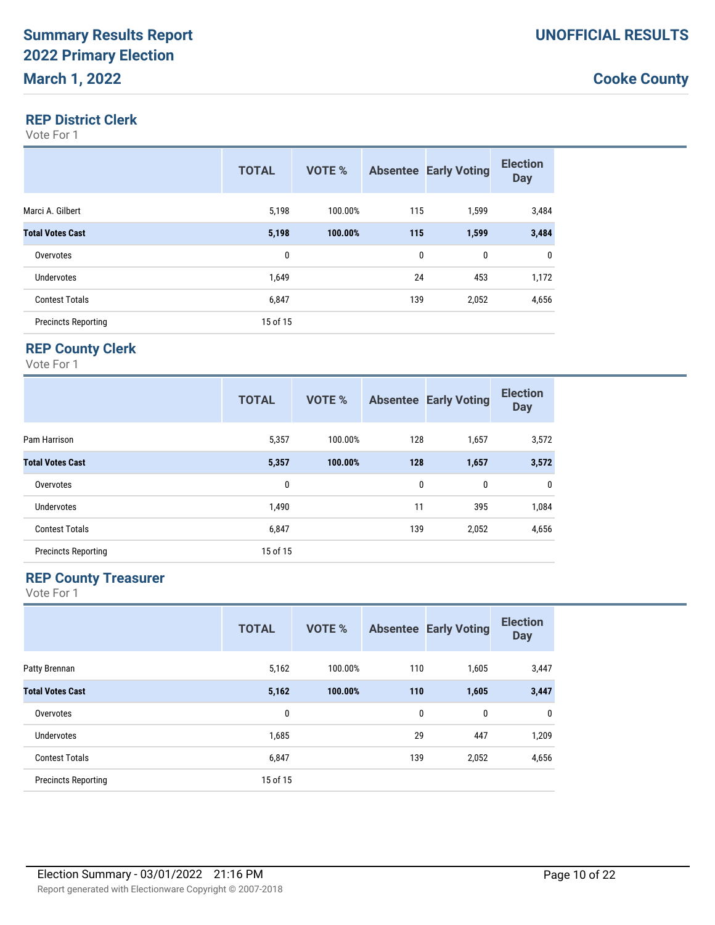#### **REP District Clerk**

Vote For 1

|                            | <b>TOTAL</b> | VOTE %  |     | <b>Absentee Early Voting</b> | <b>Election</b><br><b>Day</b> |
|----------------------------|--------------|---------|-----|------------------------------|-------------------------------|
| Marci A. Gilbert           | 5,198        | 100.00% | 115 | 1,599                        | 3,484                         |
| <b>Total Votes Cast</b>    | 5,198        | 100.00% | 115 | 1,599                        | 3,484                         |
| Overvotes                  | 0            |         | 0   | 0                            | $\mathbf 0$                   |
| Undervotes                 | 1,649        |         | 24  | 453                          | 1,172                         |
| <b>Contest Totals</b>      | 6,847        |         | 139 | 2,052                        | 4,656                         |
| <b>Precincts Reporting</b> | 15 of 15     |         |     |                              |                               |

### **REP County Clerk**

Vote For 1

|                            | <b>TOTAL</b> | <b>VOTE %</b> |     | <b>Absentee Early Voting</b> | <b>Election</b><br><b>Day</b> |
|----------------------------|--------------|---------------|-----|------------------------------|-------------------------------|
| Pam Harrison               | 5,357        | 100.00%       | 128 | 1,657                        | 3,572                         |
| <b>Total Votes Cast</b>    | 5,357        | 100.00%       | 128 | 1,657                        | 3,572                         |
| Overvotes                  | 0            |               | 0   | 0                            | 0                             |
| <b>Undervotes</b>          | 1,490        |               | 11  | 395                          | 1,084                         |
| <b>Contest Totals</b>      | 6,847        |               | 139 | 2,052                        | 4,656                         |
| <b>Precincts Reporting</b> | 15 of 15     |               |     |                              |                               |

#### **REP County Treasurer**

|                            | <b>TOTAL</b> | <b>VOTE %</b> |             | <b>Absentee Early Voting</b> | <b>Election</b><br><b>Day</b> |
|----------------------------|--------------|---------------|-------------|------------------------------|-------------------------------|
| Patty Brennan              | 5,162        | 100.00%       | 110         | 1,605                        | 3,447                         |
| <b>Total Votes Cast</b>    | 5,162        | 100.00%       | 110         | 1,605                        | 3,447                         |
| Overvotes                  | 0            |               | $\mathbf 0$ | 0                            | 0                             |
| <b>Undervotes</b>          | 1,685        |               | 29          | 447                          | 1,209                         |
| <b>Contest Totals</b>      | 6,847        |               | 139         | 2,052                        | 4,656                         |
| <b>Precincts Reporting</b> | 15 of 15     |               |             |                              |                               |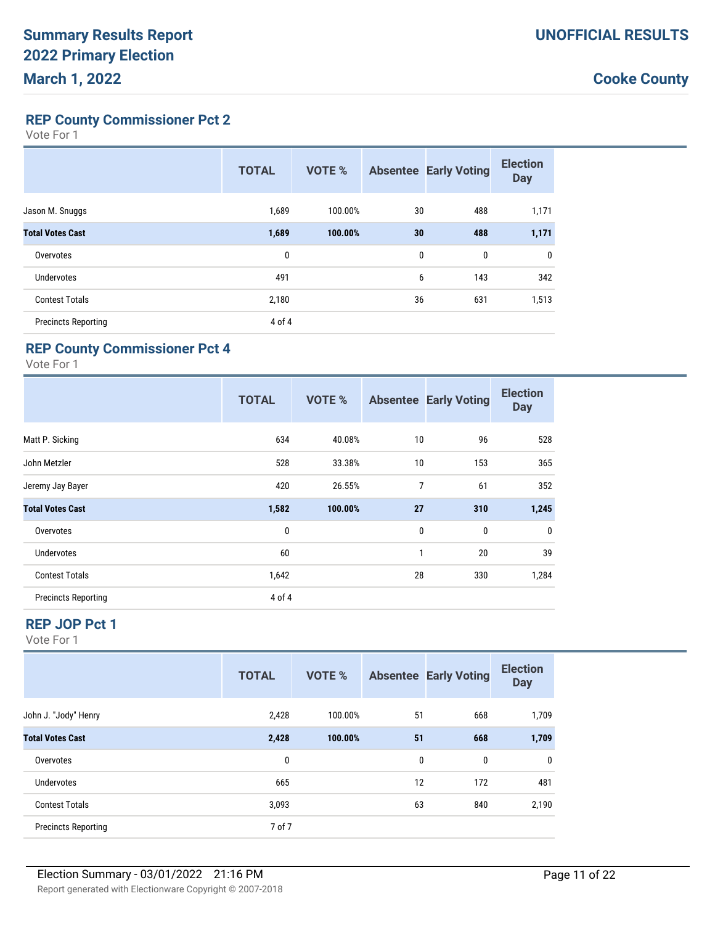**REP County Commissioner Pct 2**

Vote For 1

|                            | <b>TOTAL</b> | <b>VOTE %</b> |              | <b>Absentee Early Voting</b> | <b>Election</b><br><b>Day</b> |
|----------------------------|--------------|---------------|--------------|------------------------------|-------------------------------|
| Jason M. Snuggs            | 1,689        | 100.00%       | 30           | 488                          | 1,171                         |
| <b>Total Votes Cast</b>    | 1,689        | 100.00%       | 30           | 488                          | 1,171                         |
| Overvotes                  | 0            |               | $\mathbf{0}$ | $\mathbf 0$                  | 0                             |
| Undervotes                 | 491          |               | 6            | 143                          | 342                           |
| <b>Contest Totals</b>      | 2,180        |               | 36           | 631                          | 1,513                         |
| <b>Precincts Reporting</b> | 4 of 4       |               |              |                              |                               |

#### **REP County Commissioner Pct 4**

Vote For 1

|                            | <b>TOTAL</b> | <b>VOTE %</b> |    | <b>Absentee Early Voting</b> | <b>Election</b><br><b>Day</b> |
|----------------------------|--------------|---------------|----|------------------------------|-------------------------------|
| Matt P. Sicking            | 634          | 40.08%        | 10 | 96                           | 528                           |
| John Metzler               | 528          | 33.38%        | 10 | 153                          | 365                           |
| Jeremy Jay Bayer           | 420          | 26.55%        | 7  | 61                           | 352                           |
| <b>Total Votes Cast</b>    | 1,582        | 100.00%       | 27 | 310                          | 1,245                         |
| Overvotes                  | 0            |               | 0  | 0                            | $\mathbf 0$                   |
| <b>Undervotes</b>          | 60           |               | 1  | 20                           | 39                            |
| <b>Contest Totals</b>      | 1,642        |               | 28 | 330                          | 1,284                         |
| <b>Precincts Reporting</b> | 4 of 4       |               |    |                              |                               |

#### **REP JOP Pct 1**

|                            | <b>TOTAL</b> | <b>VOTE %</b> |    | <b>Absentee Early Voting</b> | <b>Election</b><br><b>Day</b> |
|----------------------------|--------------|---------------|----|------------------------------|-------------------------------|
| John J. "Jody" Henry       | 2,428        | 100.00%       | 51 | 668                          | 1,709                         |
| <b>Total Votes Cast</b>    | 2,428        | 100.00%       | 51 | 668                          | 1,709                         |
| Overvotes                  | 0            |               | 0  | 0                            | 0                             |
| Undervotes                 | 665          |               | 12 | 172                          | 481                           |
| <b>Contest Totals</b>      | 3,093        |               | 63 | 840                          | 2,190                         |
| <b>Precincts Reporting</b> | 7 of 7       |               |    |                              |                               |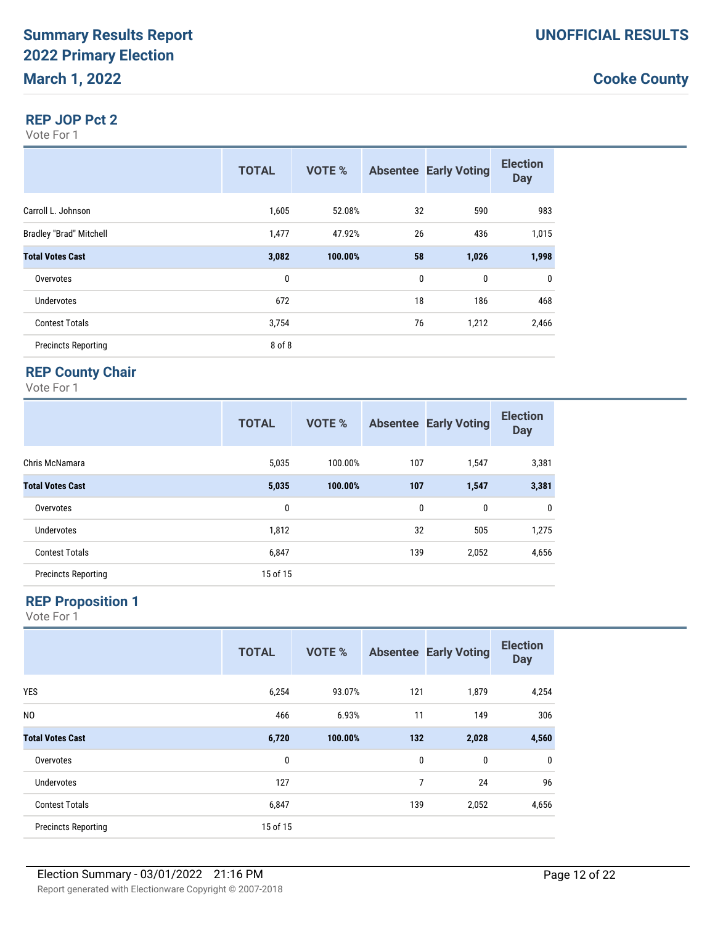#### **REP JOP Pct 2**

Vote For 1

|                                | <b>TOTAL</b> | <b>VOTE %</b> |    | <b>Absentee Early Voting</b> | <b>Election</b><br><b>Day</b> |
|--------------------------------|--------------|---------------|----|------------------------------|-------------------------------|
| Carroll L. Johnson             | 1,605        | 52.08%        | 32 | 590                          | 983                           |
| <b>Bradley "Brad" Mitchell</b> | 1,477        | 47.92%        | 26 | 436                          | 1,015                         |
| <b>Total Votes Cast</b>        | 3,082        | 100.00%       | 58 | 1,026                        | 1,998                         |
| Overvotes                      | 0            |               | 0  | 0                            | $\mathbf 0$                   |
| <b>Undervotes</b>              | 672          |               | 18 | 186                          | 468                           |
| <b>Contest Totals</b>          | 3,754        |               | 76 | 1,212                        | 2,466                         |
| <b>Precincts Reporting</b>     | 8 of 8       |               |    |                              |                               |

#### **REP County Chair**

Vote For 1

|                            | <b>TOTAL</b> | <b>VOTE %</b> |     | <b>Absentee Early Voting</b> | <b>Election</b><br><b>Day</b> |
|----------------------------|--------------|---------------|-----|------------------------------|-------------------------------|
| Chris McNamara             | 5,035        | 100.00%       | 107 | 1,547                        | 3,381                         |
| <b>Total Votes Cast</b>    | 5,035        | 100.00%       | 107 | 1,547                        | 3,381                         |
| Overvotes                  | 0            |               | 0   | 0                            | $\mathbf 0$                   |
| <b>Undervotes</b>          | 1,812        |               | 32  | 505                          | 1,275                         |
| <b>Contest Totals</b>      | 6,847        |               | 139 | 2,052                        | 4,656                         |
| <b>Precincts Reporting</b> | 15 of 15     |               |     |                              |                               |

#### **REP Proposition 1**

|                            | <b>TOTAL</b> | <b>VOTE %</b> |              | <b>Absentee Early Voting</b> | <b>Election</b><br><b>Day</b> |
|----------------------------|--------------|---------------|--------------|------------------------------|-------------------------------|
| <b>YES</b>                 | 6,254        | 93.07%        | 121          | 1,879                        | 4,254                         |
| N <sub>0</sub>             | 466          | 6.93%         | 11           | 149                          | 306                           |
| <b>Total Votes Cast</b>    | 6,720        | 100.00%       | 132          | 2,028                        | 4,560                         |
| Overvotes                  | 0            |               | $\mathbf{0}$ | $\bf{0}$                     | $\mathbf 0$                   |
| <b>Undervotes</b>          | 127          |               | 7            | 24                           | 96                            |
| <b>Contest Totals</b>      | 6,847        |               | 139          | 2,052                        | 4,656                         |
| <b>Precincts Reporting</b> | 15 of 15     |               |              |                              |                               |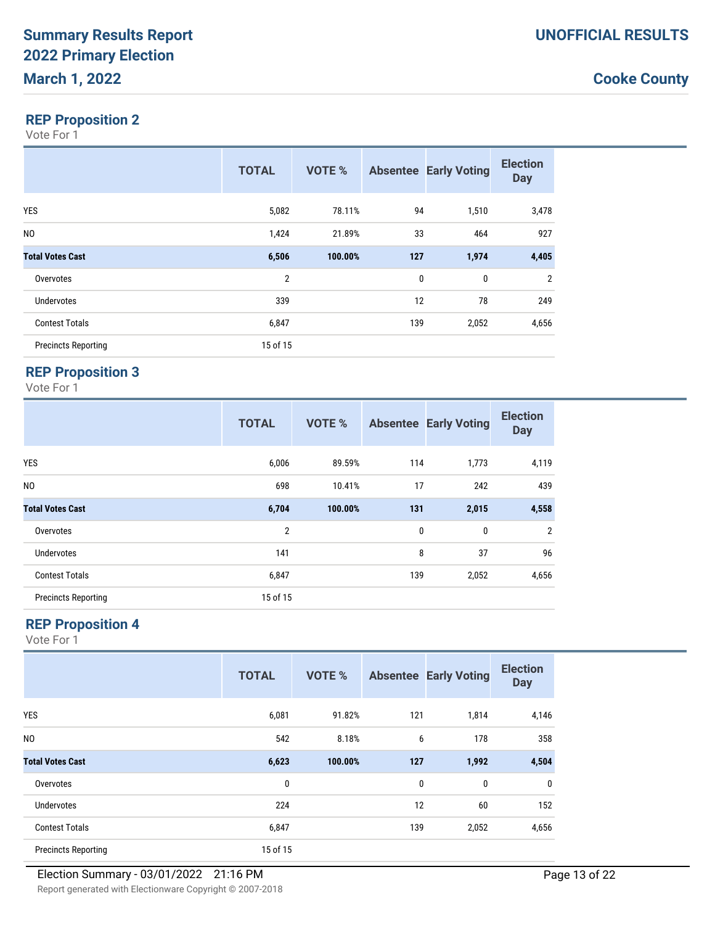### **REP Proposition 2**

Vote For 1

|                            | <b>TOTAL</b>   | <b>VOTE %</b> |             | <b>Absentee Early Voting</b> | <b>Election</b><br><b>Day</b> |
|----------------------------|----------------|---------------|-------------|------------------------------|-------------------------------|
| <b>YES</b>                 | 5,082          | 78.11%        | 94          | 1,510                        | 3,478                         |
| N <sub>0</sub>             | 1,424          | 21.89%        | 33          | 464                          | 927                           |
| <b>Total Votes Cast</b>    | 6,506          | 100.00%       | 127         | 1,974                        | 4,405                         |
| Overvotes                  | $\overline{2}$ |               | $\mathbf 0$ | 0                            | $\overline{2}$                |
| Undervotes                 | 339            |               | 12          | 78                           | 249                           |
| <b>Contest Totals</b>      | 6,847          |               | 139         | 2,052                        | 4,656                         |
| <b>Precincts Reporting</b> | 15 of 15       |               |             |                              |                               |

## **REP Proposition 3**

Vote For 1

|                            | <b>TOTAL</b>   | <b>VOTE %</b> |              | <b>Absentee Early Voting</b> | <b>Election</b><br><b>Day</b> |
|----------------------------|----------------|---------------|--------------|------------------------------|-------------------------------|
| <b>YES</b>                 | 6,006          | 89.59%        | 114          | 1,773                        | 4,119                         |
| N <sub>0</sub>             | 698            | 10.41%        | 17           | 242                          | 439                           |
| <b>Total Votes Cast</b>    | 6,704          | 100.00%       | 131          | 2,015                        | 4,558                         |
| Overvotes                  | $\overline{2}$ |               | $\mathbf{0}$ | 0                            | $\overline{2}$                |
| <b>Undervotes</b>          | 141            |               | 8            | 37                           | 96                            |
| <b>Contest Totals</b>      | 6,847          |               | 139          | 2,052                        | 4,656                         |
| <b>Precincts Reporting</b> | 15 of 15       |               |              |                              |                               |

### **REP Proposition 4**

|                            | <b>TOTAL</b> | <b>VOTE %</b> |     | <b>Absentee Early Voting</b> | <b>Election</b><br><b>Day</b> |
|----------------------------|--------------|---------------|-----|------------------------------|-------------------------------|
| <b>YES</b>                 | 6,081        | 91.82%        | 121 | 1,814                        | 4,146                         |
| N <sub>0</sub>             | 542          | 8.18%         | 6   | 178                          | 358                           |
| <b>Total Votes Cast</b>    | 6,623        | 100.00%       | 127 | 1,992                        | 4,504                         |
| Overvotes                  | $\mathbf 0$  |               | 0   | 0                            | $\mathbf{0}$                  |
| <b>Undervotes</b>          | 224          |               | 12  | 60                           | 152                           |
| <b>Contest Totals</b>      | 6,847        |               | 139 | 2,052                        | 4,656                         |
| <b>Precincts Reporting</b> | 15 of 15     |               |     |                              |                               |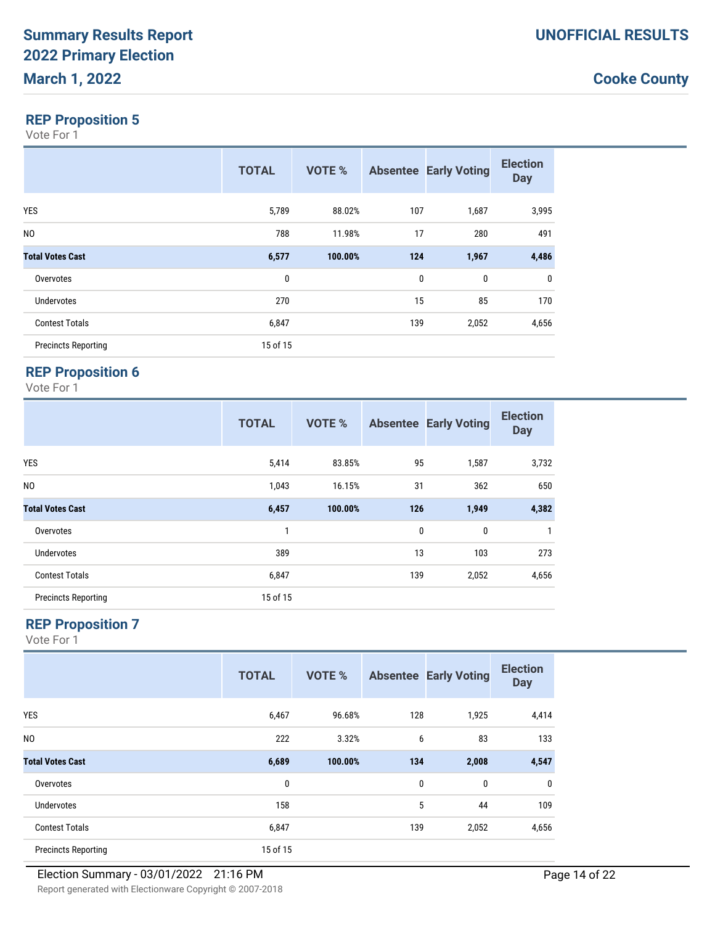### **REP Proposition 5**

Vote For 1

|                            | <b>TOTAL</b> | <b>VOTE %</b> |              | <b>Absentee Early Voting</b> | <b>Election</b><br><b>Day</b> |
|----------------------------|--------------|---------------|--------------|------------------------------|-------------------------------|
| <b>YES</b>                 | 5,789        | 88.02%        | 107          | 1,687                        | 3,995                         |
| N <sub>0</sub>             | 788          | 11.98%        | 17           | 280                          | 491                           |
| <b>Total Votes Cast</b>    | 6,577        | 100.00%       | 124          | 1,967                        | 4,486                         |
| Overvotes                  | 0            |               | $\mathbf{0}$ | $\mathbf 0$                  | 0                             |
| Undervotes                 | 270          |               | 15           | 85                           | 170                           |
| <b>Contest Totals</b>      | 6,847        |               | 139          | 2,052                        | 4,656                         |
| <b>Precincts Reporting</b> | 15 of 15     |               |              |                              |                               |

## **REP Proposition 6**

Vote For 1

|                            | <b>TOTAL</b> | <b>VOTE %</b> |     | <b>Absentee Early Voting</b> | <b>Election</b><br><b>Day</b> |
|----------------------------|--------------|---------------|-----|------------------------------|-------------------------------|
| <b>YES</b>                 | 5,414        | 83.85%        | 95  | 1,587                        | 3,732                         |
| N <sub>0</sub>             | 1,043        | 16.15%        | 31  | 362                          | 650                           |
| <b>Total Votes Cast</b>    | 6,457        | 100.00%       | 126 | 1,949                        | 4,382                         |
| Overvotes                  | 1            |               | 0   | 0                            | $\mathbf{1}$                  |
| Undervotes                 | 389          |               | 13  | 103                          | 273                           |
| <b>Contest Totals</b>      | 6,847        |               | 139 | 2,052                        | 4,656                         |
| <b>Precincts Reporting</b> | 15 of 15     |               |     |                              |                               |

# **REP Proposition 7**

|                            | <b>TOTAL</b> | <b>VOTE %</b> |     | <b>Absentee Early Voting</b> | <b>Election</b><br><b>Day</b> |
|----------------------------|--------------|---------------|-----|------------------------------|-------------------------------|
| <b>YES</b>                 | 6,467        | 96.68%        | 128 | 1,925                        | 4,414                         |
| N <sub>0</sub>             | 222          | 3.32%         | 6   | 83                           | 133                           |
| <b>Total Votes Cast</b>    | 6,689        | 100.00%       | 134 | 2,008                        | 4,547                         |
| Overvotes                  | $\mathbf 0$  |               | 0   | 0                            | 0                             |
| <b>Undervotes</b>          | 158          |               | 5   | 44                           | 109                           |
| <b>Contest Totals</b>      | 6,847        |               | 139 | 2,052                        | 4,656                         |
| <b>Precincts Reporting</b> | 15 of 15     |               |     |                              |                               |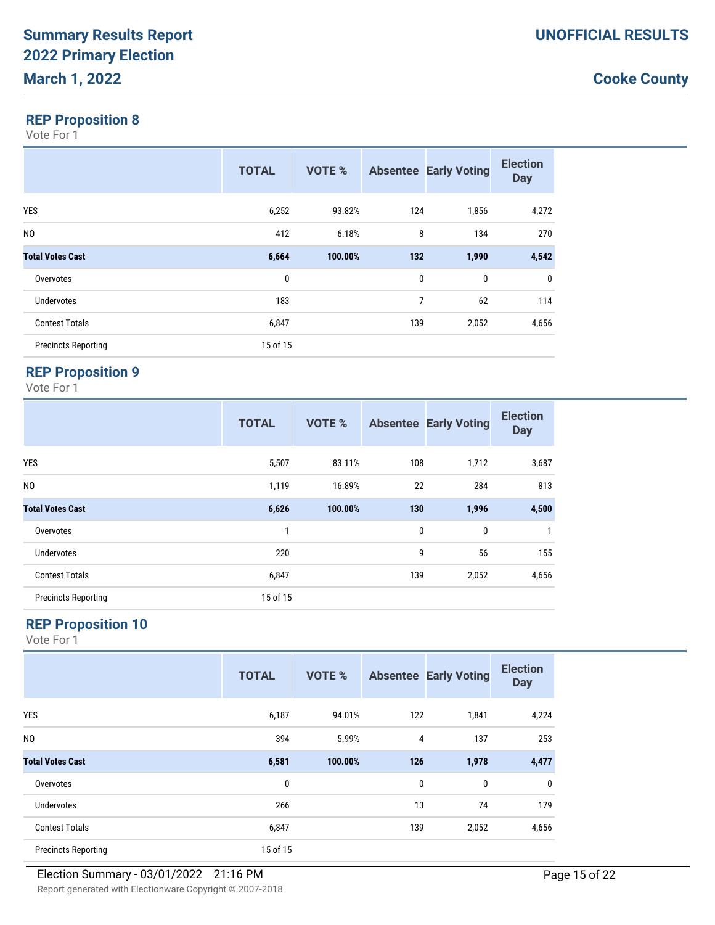### **REP Proposition 8**

Vote For 1

|                            | <b>TOTAL</b> | <b>VOTE %</b> |             | <b>Absentee Early Voting</b> | <b>Election</b><br><b>Day</b> |
|----------------------------|--------------|---------------|-------------|------------------------------|-------------------------------|
| <b>YES</b>                 | 6,252        | 93.82%        | 124         | 1,856                        | 4,272                         |
| N <sub>0</sub>             | 412          | 6.18%         | 8           | 134                          | 270                           |
| <b>Total Votes Cast</b>    | 6,664        | 100.00%       | 132         | 1,990                        | 4,542                         |
| Overvotes                  | 0            |               | $\mathbf 0$ | 0                            | $\mathbf 0$                   |
| <b>Undervotes</b>          | 183          |               | 7           | 62                           | 114                           |
| <b>Contest Totals</b>      | 6,847        |               | 139         | 2,052                        | 4,656                         |
| <b>Precincts Reporting</b> | 15 of 15     |               |             |                              |                               |

## **REP Proposition 9**

Vote For 1

|                            | <b>TOTAL</b> | <b>VOTE %</b> |     | <b>Absentee Early Voting</b> | <b>Election</b><br><b>Day</b> |
|----------------------------|--------------|---------------|-----|------------------------------|-------------------------------|
| <b>YES</b>                 | 5,507        | 83.11%        | 108 | 1,712                        | 3,687                         |
| N <sub>0</sub>             | 1,119        | 16.89%        | 22  | 284                          | 813                           |
| <b>Total Votes Cast</b>    | 6,626        | 100.00%       | 130 | 1,996                        | 4,500                         |
| Overvotes                  | 1            |               | 0   | 0                            | $\mathbf{1}$                  |
| <b>Undervotes</b>          | 220          |               | 9   | 56                           | 155                           |
| <b>Contest Totals</b>      | 6,847        |               | 139 | 2,052                        | 4,656                         |
| <b>Precincts Reporting</b> | 15 of 15     |               |     |                              |                               |

### **REP Proposition 10**

|                            | <b>TOTAL</b> | <b>VOTE %</b> |     | <b>Absentee Early Voting</b> | <b>Election</b><br><b>Day</b> |
|----------------------------|--------------|---------------|-----|------------------------------|-------------------------------|
| <b>YES</b>                 | 6,187        | 94.01%        | 122 | 1,841                        | 4,224                         |
| N <sub>0</sub>             | 394          | 5.99%         | 4   | 137                          | 253                           |
| <b>Total Votes Cast</b>    | 6,581        | 100.00%       | 126 | 1,978                        | 4,477                         |
| Overvotes                  | $\bf{0}$     |               | 0   | 0                            | 0                             |
| <b>Undervotes</b>          | 266          |               | 13  | 74                           | 179                           |
| <b>Contest Totals</b>      | 6,847        |               | 139 | 2,052                        | 4,656                         |
| <b>Precincts Reporting</b> | 15 of 15     |               |     |                              |                               |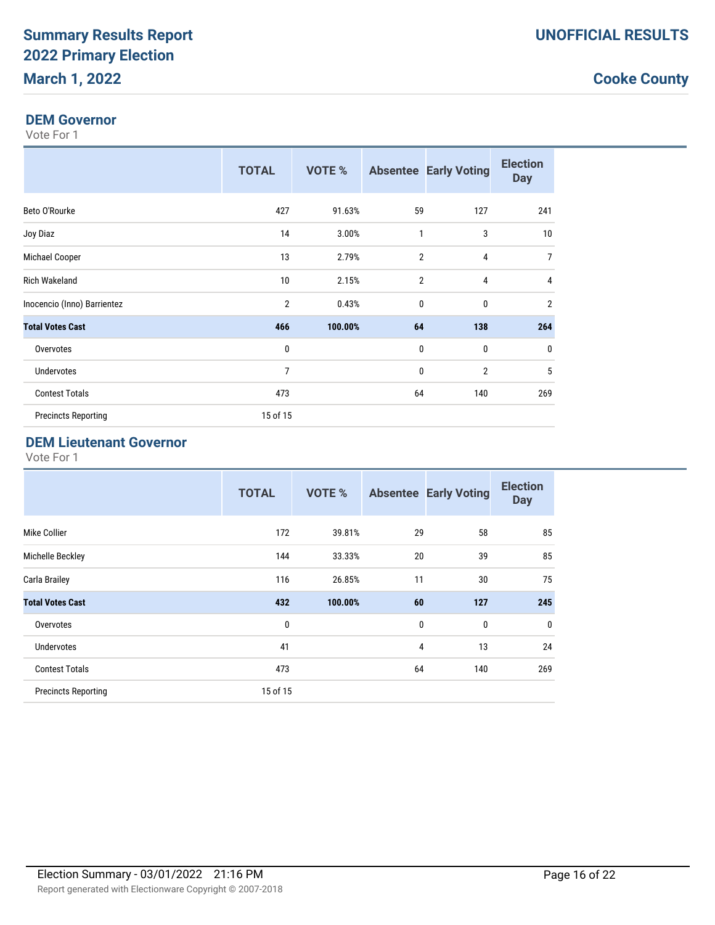#### **DEM Governor**

Vote For 1

|                             | <b>TOTAL</b>   | VOTE %  |                | <b>Absentee Early Voting</b> | <b>Election</b><br><b>Day</b> |
|-----------------------------|----------------|---------|----------------|------------------------------|-------------------------------|
| Beto O'Rourke               | 427            | 91.63%  | 59             | 127                          | 241                           |
| Joy Diaz                    | 14             | 3.00%   | $\mathbf{1}$   | 3                            | 10                            |
| Michael Cooper              | 13             | 2.79%   | $\overline{2}$ | 4                            | $\overline{7}$                |
| <b>Rich Wakeland</b>        | 10             | 2.15%   | $\overline{2}$ | 4                            | 4                             |
| Inocencio (Inno) Barrientez | $\overline{2}$ | 0.43%   | $\mathbf{0}$   | 0                            | $\overline{2}$                |
| <b>Total Votes Cast</b>     | 466            | 100.00% | 64             | 138                          | 264                           |
| Overvotes                   | $\mathbf{0}$   |         | $\mathbf{0}$   | 0                            | $\mathbf 0$                   |
| Undervotes                  | 7              |         | $\mathbf{0}$   | $\overline{2}$               | 5                             |
| <b>Contest Totals</b>       | 473            |         | 64             | 140                          | 269                           |
| <b>Precincts Reporting</b>  | 15 of 15       |         |                |                              |                               |

#### **DEM Lieutenant Governor**

|                            | <b>TOTAL</b> | <b>VOTE %</b> | <b>Absentee</b> | <b>Early Voting</b> | <b>Election</b><br><b>Day</b> |
|----------------------------|--------------|---------------|-----------------|---------------------|-------------------------------|
| Mike Collier               | 172          | 39.81%        | 29              | 58                  | 85                            |
| Michelle Beckley           | 144          | 33.33%        | 20              | 39                  | 85                            |
| Carla Brailey              | 116          | 26.85%        | 11              | 30                  | 75                            |
| <b>Total Votes Cast</b>    | 432          | 100.00%       | 60              | 127                 | 245                           |
| Overvotes                  | 0            |               | 0               | 0                   | $\mathbf 0$                   |
| <b>Undervotes</b>          | 41           |               | 4               | 13                  | 24                            |
| <b>Contest Totals</b>      | 473          |               | 64              | 140                 | 269                           |
| <b>Precincts Reporting</b> | 15 of 15     |               |                 |                     |                               |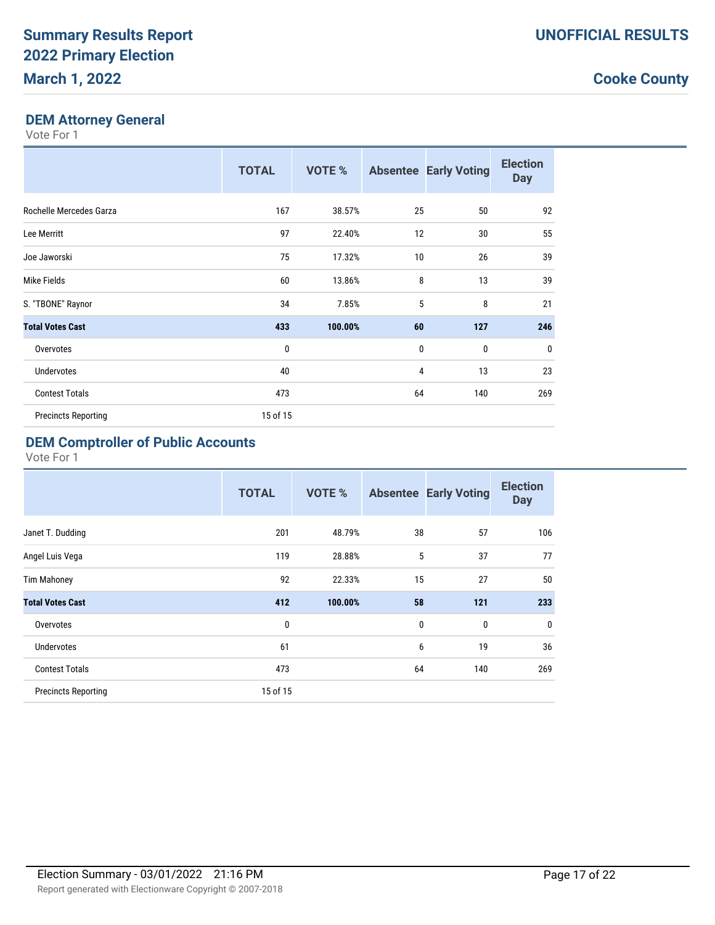### **DEM Attorney General**

Vote For 1

|                            | <b>TOTAL</b> | <b>VOTE %</b> |             | <b>Absentee Early Voting</b> | <b>Election</b><br><b>Day</b> |
|----------------------------|--------------|---------------|-------------|------------------------------|-------------------------------|
| Rochelle Mercedes Garza    | 167          | 38.57%        | 25          | 50                           | 92                            |
| Lee Merritt                | 97           | 22.40%        | 12          | 30                           | 55                            |
| Joe Jaworski               | 75           | 17.32%        | 10          | 26                           | 39                            |
| Mike Fields                | 60           | 13.86%        | 8           | 13                           | 39                            |
| S. "TBONE" Raynor          | 34           | 7.85%         | 5           | 8                            | 21                            |
| <b>Total Votes Cast</b>    | 433          | 100.00%       | 60          | 127                          | 246                           |
| Overvotes                  | 0            |               | $\mathbf 0$ | 0                            | $\mathbf{0}$                  |
| Undervotes                 | 40           |               | 4           | 13                           | 23                            |
| <b>Contest Totals</b>      | 473          |               | 64          | 140                          | 269                           |
| <b>Precincts Reporting</b> | 15 of 15     |               |             |                              |                               |

# **DEM Comptroller of Public Accounts**

|                            | <b>TOTAL</b> | <b>VOTE %</b> |              | <b>Absentee Early Voting</b> | <b>Election</b><br><b>Day</b> |
|----------------------------|--------------|---------------|--------------|------------------------------|-------------------------------|
| Janet T. Dudding           | 201          | 48.79%        | 38           | 57                           | 106                           |
| Angel Luis Vega            | 119          | 28.88%        | 5            | 37                           | 77                            |
| <b>Tim Mahoney</b>         | 92           | 22.33%        | 15           | 27                           | 50                            |
| <b>Total Votes Cast</b>    | 412          | 100.00%       | 58           | 121                          | 233                           |
| Overvotes                  | 0            |               | $\mathbf{0}$ | $\mathbf 0$                  | $\mathbf 0$                   |
| <b>Undervotes</b>          | 61           |               | 6            | 19                           | 36                            |
| <b>Contest Totals</b>      | 473          |               | 64           | 140                          | 269                           |
| <b>Precincts Reporting</b> | 15 of 15     |               |              |                              |                               |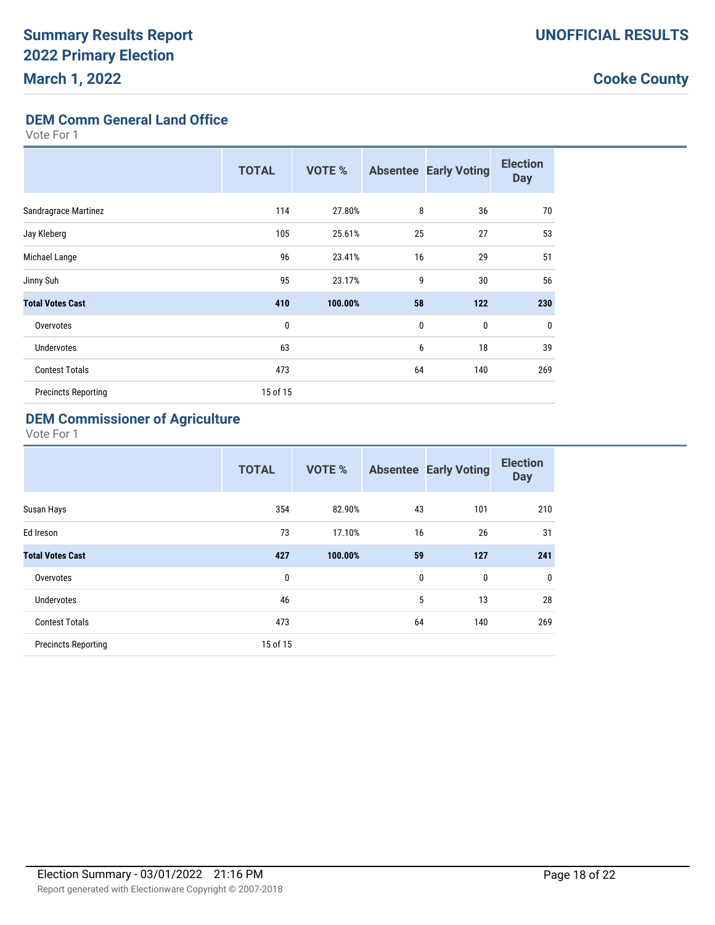**DEM Comm General Land Office**

Vote For 1

|                            | <b>TOTAL</b> | <b>VOTE %</b> |              | <b>Absentee Early Voting</b> | <b>Election</b><br><b>Day</b> |
|----------------------------|--------------|---------------|--------------|------------------------------|-------------------------------|
| Sandragrace Martinez       | 114          | 27.80%        | 8            | 36                           | 70                            |
| Jay Kleberg                | 105          | 25.61%        | 25           | 27                           | 53                            |
| Michael Lange              | 96           | 23.41%        | 16           | 29                           | 51                            |
| Jinny Suh                  | 95           | 23.17%        | 9            | 30                           | 56                            |
| <b>Total Votes Cast</b>    | 410          | 100.00%       | 58           | 122                          | 230                           |
| Overvotes                  | 0            |               | $\mathbf{0}$ | 0                            | 0                             |
| Undervotes                 | 63           |               | 6            | 18                           | 39                            |
| <b>Contest Totals</b>      | 473          |               | 64           | 140                          | 269                           |
| <b>Precincts Reporting</b> | 15 of 15     |               |              |                              |                               |

### **DEM Commissioner of Agriculture**

|                            | <b>TOTAL</b> | <b>VOTE %</b> |    | <b>Absentee Early Voting</b> | <b>Election</b><br><b>Day</b> |
|----------------------------|--------------|---------------|----|------------------------------|-------------------------------|
| Susan Hays                 | 354          | 82.90%        | 43 | 101                          | 210                           |
| Ed Ireson                  | 73           | 17.10%        | 16 | 26                           | 31                            |
| <b>Total Votes Cast</b>    | 427          | 100.00%       | 59 | 127                          | 241                           |
| Overvotes                  | 0            |               | 0  | 0                            | $\mathbf{0}$                  |
| <b>Undervotes</b>          | 46           |               | 5  | 13                           | 28                            |
| <b>Contest Totals</b>      | 473          |               | 64 | 140                          | 269                           |
| <b>Precincts Reporting</b> | 15 of 15     |               |    |                              |                               |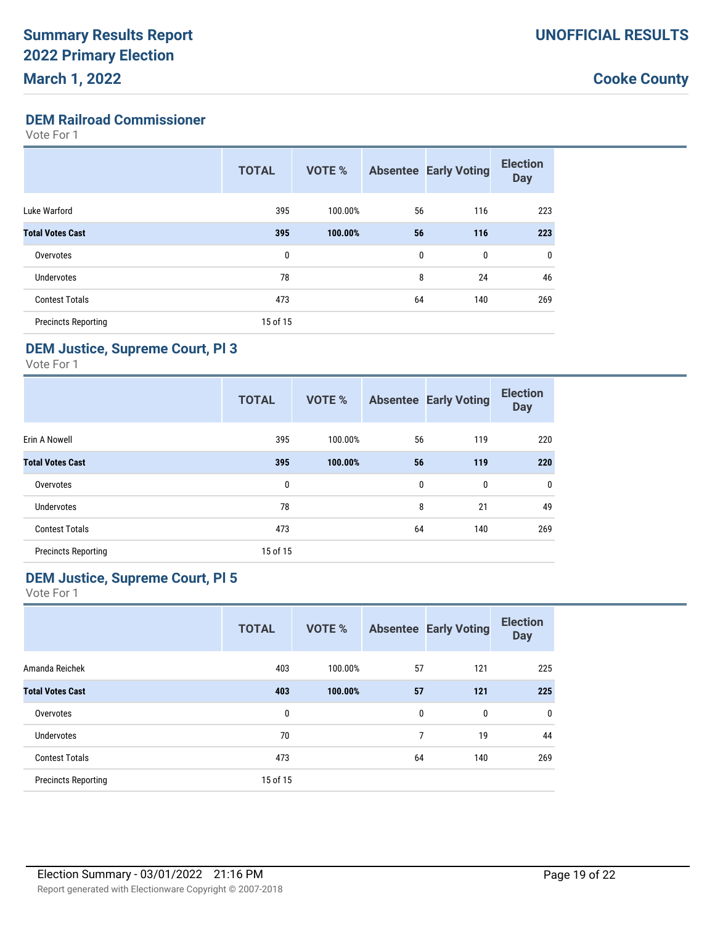#### **DEM Railroad Commissioner**

Vote For 1

|                            | <b>TOTAL</b> | <b>VOTE %</b> |    | <b>Absentee Early Voting</b> | <b>Election</b><br><b>Day</b> |
|----------------------------|--------------|---------------|----|------------------------------|-------------------------------|
| Luke Warford               | 395          | 100.00%       | 56 | 116                          | 223                           |
| <b>Total Votes Cast</b>    | 395          | 100.00%       | 56 | 116                          | 223                           |
| Overvotes                  | 0            |               | 0  | 0                            | 0                             |
| Undervotes                 | 78           |               | 8  | 24                           | 46                            |
| <b>Contest Totals</b>      | 473          |               | 64 | 140                          | 269                           |
| <b>Precincts Reporting</b> | 15 of 15     |               |    |                              |                               |

#### **DEM Justice, Supreme Court, Pl 3**

Vote For 1

|                            | <b>TOTAL</b> | VOTE %  |             | <b>Absentee Early Voting</b> | <b>Election</b><br><b>Day</b> |
|----------------------------|--------------|---------|-------------|------------------------------|-------------------------------|
| Erin A Nowell              | 395          | 100.00% | 56          | 119                          | 220                           |
| <b>Total Votes Cast</b>    | 395          | 100.00% | 56          | 119                          | 220                           |
| Overvotes                  | 0            |         | $\mathbf 0$ | 0                            | $\mathbf 0$                   |
| <b>Undervotes</b>          | 78           |         | 8           | 21                           | 49                            |
| <b>Contest Totals</b>      | 473          |         | 64          | 140                          | 269                           |
| <b>Precincts Reporting</b> | 15 of 15     |         |             |                              |                               |

#### **DEM Justice, Supreme Court, Pl 5**

|                            | <b>TOTAL</b> | <b>VOTE %</b> |    | <b>Absentee Early Voting</b> | <b>Election</b><br><b>Day</b> |
|----------------------------|--------------|---------------|----|------------------------------|-------------------------------|
| Amanda Reichek             | 403          | 100.00%       | 57 | 121                          | 225                           |
| <b>Total Votes Cast</b>    | 403          | 100.00%       | 57 | 121                          | 225                           |
| Overvotes                  | 0            |               | 0  | 0                            | $\mathbf 0$                   |
| Undervotes                 | 70           |               | 7  | 19                           | 44                            |
| <b>Contest Totals</b>      | 473          |               | 64 | 140                          | 269                           |
| <b>Precincts Reporting</b> | 15 of 15     |               |    |                              |                               |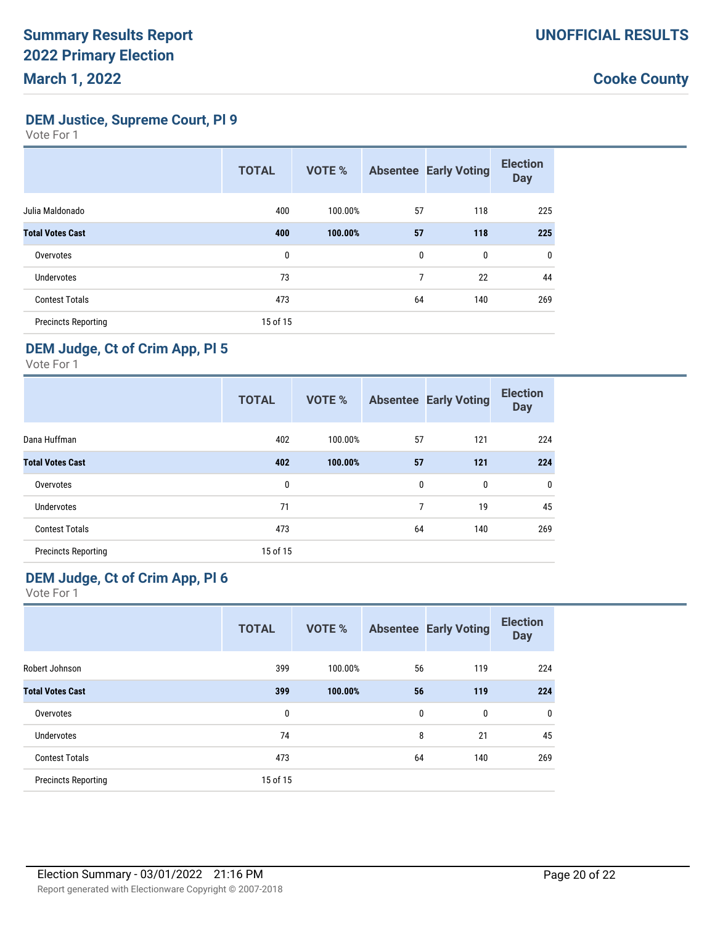**DEM Justice, Supreme Court, Pl 9**

Vote For 1

|                            | <b>TOTAL</b> | <b>VOTE %</b> |    | <b>Absentee Early Voting</b> | <b>Election</b><br><b>Day</b> |
|----------------------------|--------------|---------------|----|------------------------------|-------------------------------|
| Julia Maldonado            | 400          | 100.00%       | 57 | 118                          | 225                           |
| <b>Total Votes Cast</b>    | 400          | 100.00%       | 57 | 118                          | 225                           |
| Overvotes                  | 0            |               | 0  | 0                            | $\mathbf{0}$                  |
| <b>Undervotes</b>          | 73           |               | 7  | 22                           | 44                            |
| <b>Contest Totals</b>      | 473          |               | 64 | 140                          | 269                           |
| <b>Precincts Reporting</b> | 15 of 15     |               |    |                              |                               |

#### **DEM Judge, Ct of Crim App, Pl 5**

Vote For 1

|                            | <b>TOTAL</b> | <b>VOTE %</b> |    | <b>Absentee Early Voting</b> | <b>Election</b><br><b>Day</b> |
|----------------------------|--------------|---------------|----|------------------------------|-------------------------------|
| Dana Huffman               | 402          | 100.00%       | 57 | 121                          | 224                           |
| <b>Total Votes Cast</b>    | 402          | 100.00%       | 57 | 121                          | 224                           |
| Overvotes                  | 0            |               | 0  | 0                            | $\mathbf 0$                   |
| <b>Undervotes</b>          | 71           |               | 7  | 19                           | 45                            |
| <b>Contest Totals</b>      | 473          |               | 64 | 140                          | 269                           |
| <b>Precincts Reporting</b> | 15 of 15     |               |    |                              |                               |

### **DEM Judge, Ct of Crim App, Pl 6**

|                            | <b>TOTAL</b> | <b>VOTE %</b> |    | <b>Absentee Early Voting</b> | <b>Election</b><br><b>Day</b> |
|----------------------------|--------------|---------------|----|------------------------------|-------------------------------|
| Robert Johnson             | 399          | 100.00%       | 56 | 119                          | 224                           |
| <b>Total Votes Cast</b>    | 399          | 100.00%       | 56 | 119                          | 224                           |
| Overvotes                  | 0            |               | 0  | 0                            | $\mathbf 0$                   |
| <b>Undervotes</b>          | 74           |               | 8  | 21                           | 45                            |
| <b>Contest Totals</b>      | 473          |               | 64 | 140                          | 269                           |
| <b>Precincts Reporting</b> | 15 of 15     |               |    |                              |                               |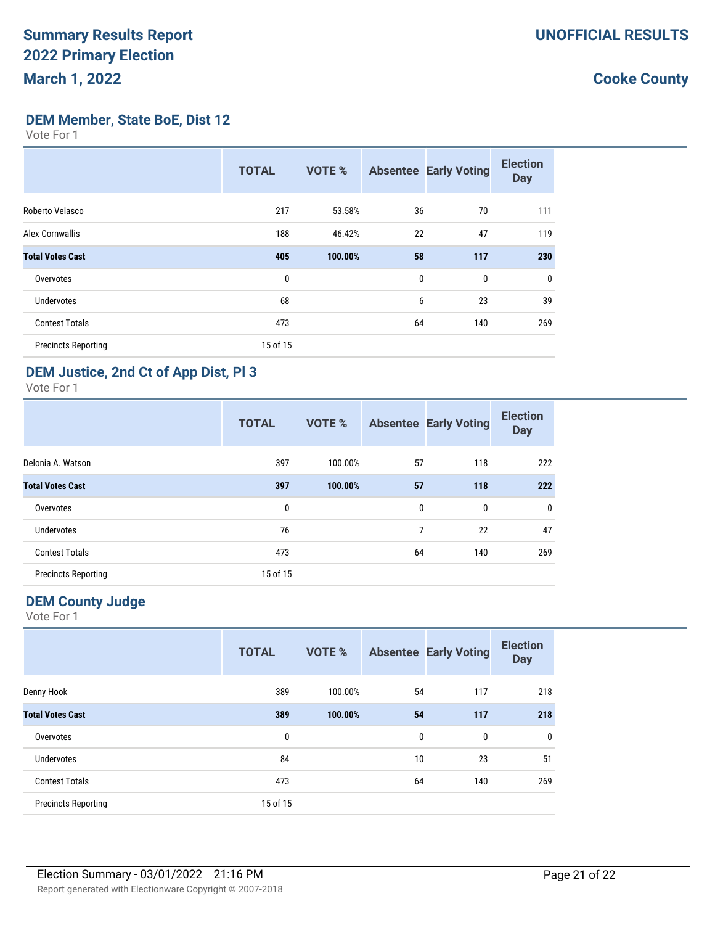**DEM Member, State BoE, Dist 12**

Vote For 1

|                            | <b>TOTAL</b> | <b>VOTE %</b> |             | <b>Absentee Early Voting</b> | <b>Election</b><br><b>Day</b> |
|----------------------------|--------------|---------------|-------------|------------------------------|-------------------------------|
| Roberto Velasco            | 217          | 53.58%        | 36          | 70                           | 111                           |
| <b>Alex Cornwallis</b>     | 188          | 46.42%        | 22          | 47                           | 119                           |
| <b>Total Votes Cast</b>    | 405          | 100.00%       | 58          | 117                          | 230                           |
| Overvotes                  | 0            |               | $\mathbf 0$ | $\mathbf{0}$                 | $\mathbf 0$                   |
| <b>Undervotes</b>          | 68           |               | 6           | 23                           | 39                            |
| <b>Contest Totals</b>      | 473          |               | 64          | 140                          | 269                           |
| <b>Precincts Reporting</b> | 15 of 15     |               |             |                              |                               |

#### **DEM Justice, 2nd Ct of App Dist, Pl 3**

Vote For 1

|                            | <b>TOTAL</b> | <b>VOTE %</b> |    | <b>Absentee Early Voting</b> | <b>Election</b><br><b>Day</b> |
|----------------------------|--------------|---------------|----|------------------------------|-------------------------------|
| Delonia A. Watson          | 397          | 100.00%       | 57 | 118                          | 222                           |
| <b>Total Votes Cast</b>    | 397          | 100.00%       | 57 | 118                          | 222                           |
| Overvotes                  | 0            |               | 0  | 0                            | $\mathbf 0$                   |
| <b>Undervotes</b>          | 76           |               | 7  | 22                           | 47                            |
| <b>Contest Totals</b>      | 473          |               | 64 | 140                          | 269                           |
| <b>Precincts Reporting</b> | 15 of 15     |               |    |                              |                               |

### **DEM County Judge**

|                            | <b>TOTAL</b> | <b>VOTE %</b> |    | <b>Absentee Early Voting</b> | <b>Election</b><br><b>Day</b> |
|----------------------------|--------------|---------------|----|------------------------------|-------------------------------|
| Denny Hook                 | 389          | 100.00%       | 54 | 117                          | 218                           |
| <b>Total Votes Cast</b>    | 389          | 100.00%       | 54 | 117                          | 218                           |
| Overvotes                  | 0            |               | 0  | 0                            | 0                             |
| <b>Undervotes</b>          | 84           |               | 10 | 23                           | 51                            |
| <b>Contest Totals</b>      | 473          |               | 64 | 140                          | 269                           |
| <b>Precincts Reporting</b> | 15 of 15     |               |    |                              |                               |